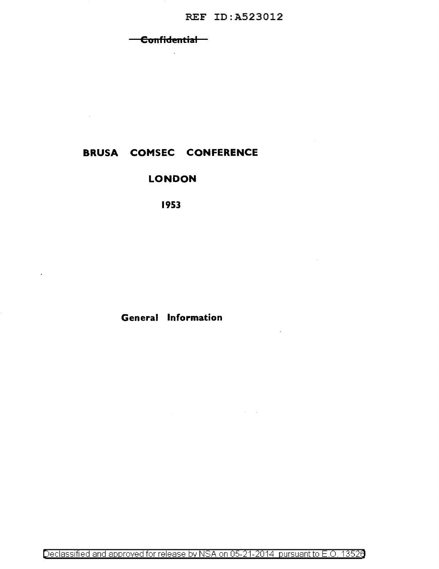#### Confidential  $\overline{\phantom{0}}$

 $\sim$ 

# **BRUSA COMSEC CONFERENCE**

 $\sim 10^{-10}$ 

 $\cdot$ 

## **LONDON**

1953

## **General Information**

Declassified and approved for release by NSA on 05-21-2014 pursuant to E.O. 13526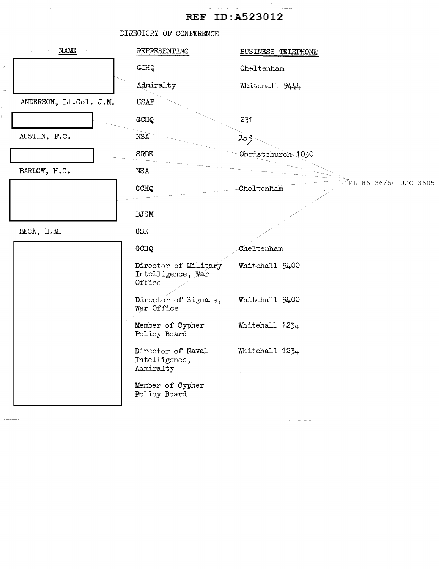$\sim$ 

|                        | DIRECTORY OF CONFERENCE                             |                                    |
|------------------------|-----------------------------------------------------|------------------------------------|
| NAME                   | REPRESENTING                                        | BUSINESS TELEPHONE                 |
|                        | GCHQ                                                | Cheltenham                         |
|                        | Admiralty                                           | Whitehall 9444                     |
| ANDERSON, Lt.Col. J.M. | <b>USAF</b>                                         |                                    |
|                        | GCHQ                                                | 231                                |
| AUSTIN, F.C.           | NSA <sup>®</sup>                                    | 203                                |
|                        | <b>SRDE</b>                                         | Christchurch 1030                  |
| BARLOW, H.C.           | NSA                                                 |                                    |
|                        | GCHQ                                                | PL 86-36/50 USC 3605<br>Cheltenham |
|                        | <b>BJSM</b>                                         |                                    |
|                        |                                                     |                                    |
| BECK, H.M.             | <b>USN</b>                                          |                                    |
|                        | GCHQ                                                | Cheltenham                         |
|                        | Director of Military<br>Intelligence, War<br>Office | Whitehall 9400                     |
|                        | Director of Signals,<br>War Office                  | Whitehall 9400                     |
|                        | Member of Cypher<br>Policy Board                    | Whitehall 1234                     |
|                        | Director of Naval<br>Intelligence,<br>Admiralty     | Whitehall 1234                     |
|                        | Member of Cypher<br>Policy Board                    |                                    |

المنابط التواصل والمسكنة والمناد المستشفين

 $\sim$   $\sim$   $\sim$   $\sim$   $\sim$   $\sim$ 

 $\sim$ 

 $\mathbb{Q}$ 

 $\frac{1}{2}$ 

Ŷ, Ĺ.

 $\mathcal{A}^{\mathcal{A}}$  , and  $\mathcal{A}^{\mathcal{A}}$  , and  $\mathcal{A}^{\mathcal{A}}$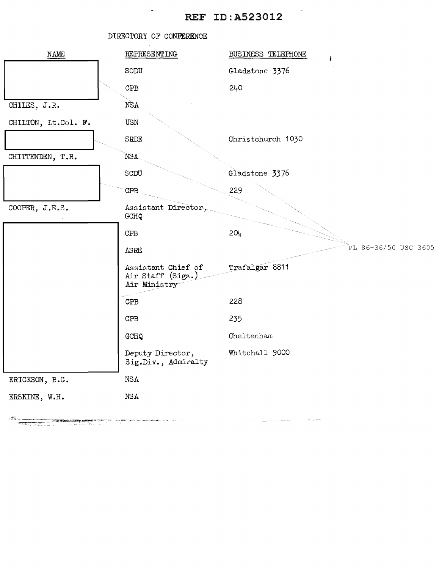|                     | DIRECTORY OF CONFERENCE                                 |                                            |
|---------------------|---------------------------------------------------------|--------------------------------------------|
| NAME                | REPRESENTING                                            | BUSINESS TELEPHONE<br>$\tilde{\mathbf{J}}$ |
|                     | SCDU                                                    | Gladstone 3376                             |
|                     | CPB                                                     | 240                                        |
| CHILES, J.R.        | NSA.                                                    |                                            |
| CHILTON, Lt.Col. F. | USN                                                     |                                            |
|                     | SRDE                                                    | Christchurch 1030                          |
| CHITTENDEN, T.R.    | NSA.                                                    |                                            |
|                     | SCDU                                                    | Gladstone 3376                             |
|                     | CPB.                                                    | 229                                        |
| COOPER, $J.E.S.$    | Assistant Director,<br>GCHQ                             |                                            |
|                     | CFB                                                     | 204                                        |
|                     | ASRE                                                    | PL 86-36/50 USC 3605                       |
|                     | Assistant Chief of<br>Air Staff (Sigs.)<br>Air Ministry | Trafalgar 8811                             |
|                     | CPB                                                     | 228                                        |
|                     | CPB                                                     | 235                                        |
|                     | GCHQ                                                    | Cheltenham                                 |
|                     | Deputy Director,<br>Sig.Div., Admiralty                 | Whitehall 9000                             |
| ERICKSON, B.G.      | NSA                                                     |                                            |
| ERSKINE, W.H.       | NSA                                                     |                                            |
|                     |                                                         |                                            |

 $\mathcal{L}_{\text{max}}$  and  $\mathcal{L}_{\text{max}}$  and  $\mathcal{L}_{\text{max}}$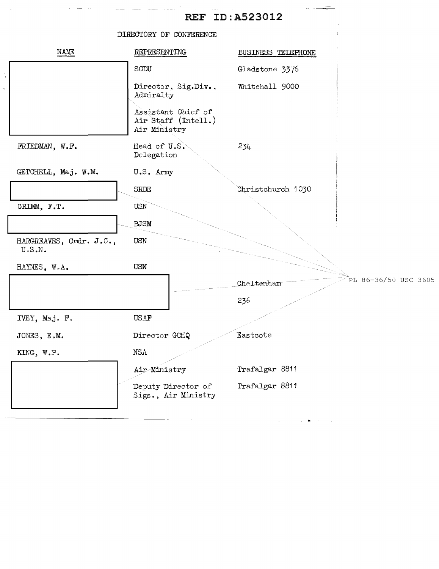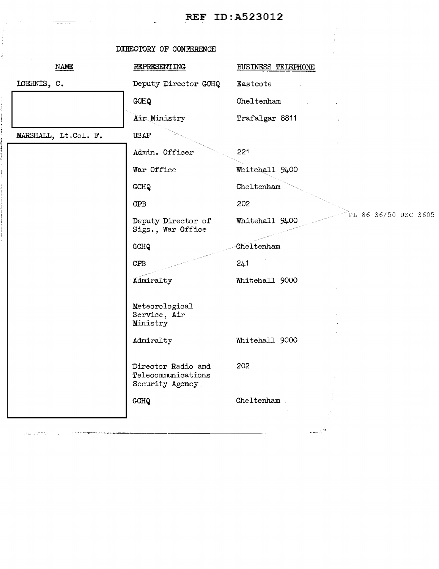|                                                                                                                                              | DIRECTORY OF CONFERENCE                                     |                                                                                        |
|----------------------------------------------------------------------------------------------------------------------------------------------|-------------------------------------------------------------|----------------------------------------------------------------------------------------|
| NAME                                                                                                                                         | REPRESENTING                                                | BUSINESS TELEPHONE                                                                     |
| LOEHNIS, C.                                                                                                                                  | Deputy Director GOHQ                                        | Eastcote                                                                               |
|                                                                                                                                              | GCHQ                                                        | Cheltenham                                                                             |
|                                                                                                                                              | Air Ministry                                                | Trafalgar 8811<br>$\cdot$                                                              |
| MARSHALL, Lt.Col. F.                                                                                                                         | <b>USAF</b>                                                 |                                                                                        |
|                                                                                                                                              | Admin. Officer                                              | 221                                                                                    |
|                                                                                                                                              | War Office                                                  | Whitehall 9400                                                                         |
|                                                                                                                                              | GCHQ                                                        | Cheltenham                                                                             |
|                                                                                                                                              | CPB                                                         | 202                                                                                    |
|                                                                                                                                              | Deputy Director of<br>Sigs., War Office                     | PL 86-36/50 USC 3605<br>Whitehall 9400                                                 |
|                                                                                                                                              | GCHQ                                                        | Cheltenham                                                                             |
|                                                                                                                                              | <b>CPB</b>                                                  | 241                                                                                    |
|                                                                                                                                              | Admiralty                                                   | Whitehall 9000                                                                         |
|                                                                                                                                              | Meteorological<br>Service, Air<br>Ministry<br>Admiralty     | Whitehall 9000                                                                         |
|                                                                                                                                              | Director Radio and<br>Telecommunications<br>Security Agency | 202                                                                                    |
|                                                                                                                                              | GCHQ                                                        | Cheltenham                                                                             |
| $\frac{1}{\log\left(1+\frac{1}{\sqrt{2}}\right)}\leq\frac{1}{\sqrt{2}}\cdot\frac{1}{\sqrt{2}}\leq\frac{1}{\sqrt{2}}\cdot\frac{1}{\sqrt{2}}.$ |                                                             | $\sum_{\mathbf{k},\mathbf{m}\in\mathbb{Z}^d} \sum_{i=1}^n \mathbf{w}_\mathbf{k}^{(i)}$ |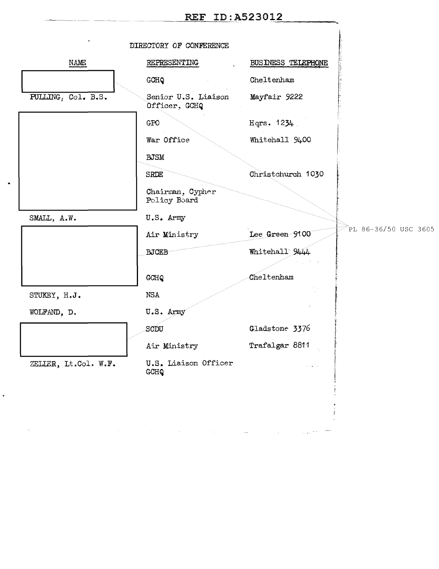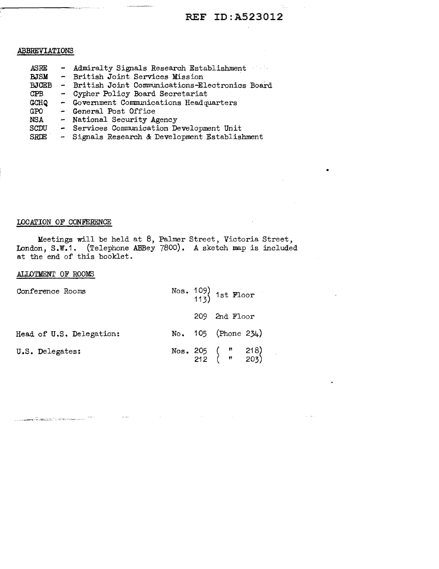•

### ABBREVIATIONS

- Admiralty Signals Research Establishment - British Joint Services Mission .ASRE **BJSM** BJCEB - British Joint Communications-Electronics Board CPB GCHQ GPO NSA SCDU SR**DE** - Cypher Policy Board Secretariat - Government Communications Headquarters<br>- General Post Office - National Security Agency - Services Communication Development Unit - Signals Research & Development Establishment

#### LOCATION OF CONFERENCE

Meetings will be held at 8, Palmer Street, Victoria Street, London, S.W.1. (Telephone ABBey 7800). A sketch map is included at the end of this booklet.

### ALLOTMENT OF ROOMS

.<br>Andre versit trin in Grothera

| Conference Rooms         |  | Nos. $109$ 1st Floor              |
|--------------------------|--|-----------------------------------|
|                          |  | 209 2nd Floor                     |
| Head of U.S. Delegation: |  | No. $105$ (Phone 234)             |
| U.S. Delegates:          |  | Nos. 205 ( " 218)<br>212 ( " 203) |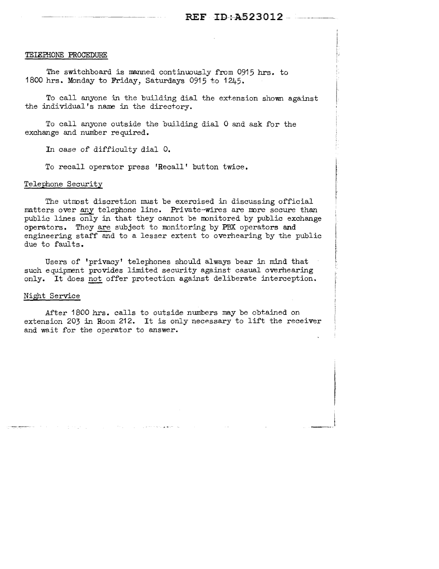#### TEIEPHONE PROCEDURE

The switchboard is manned continuously from 0915 hrs. to 1800 hrs. Monday to Friday, Saturdays 0915 to 1245.

To call anyone in the building dial the extension shown against the individual's name in the directory.

To call anyone outside the building dial 0 and ask for the exchange and number required.

In case of difficulty dial 0.

To recall operator press 'Recall' button twice.

#### Telephone Security

The utmost discretion must be exercised in discussing official matters over any telephone line. Private=wires are more secure than public lines only in that they cannot be monitored by public exchange operators. They are subject to monitoring by PBX operators and engineering staff and to a lesser extent to overhearing by the public due to faults.

Users of 'privacy' telephones should always bear in mind that such equipment provides limited security against casual overhearing only. It does not offer protection against deliberate interception.

#### Night Service

After 1800 hrs. calls to outside numbers may be obtained on extension 203 in Room 212. It is only necessary to lift the receiver and wait for the operator to answer.